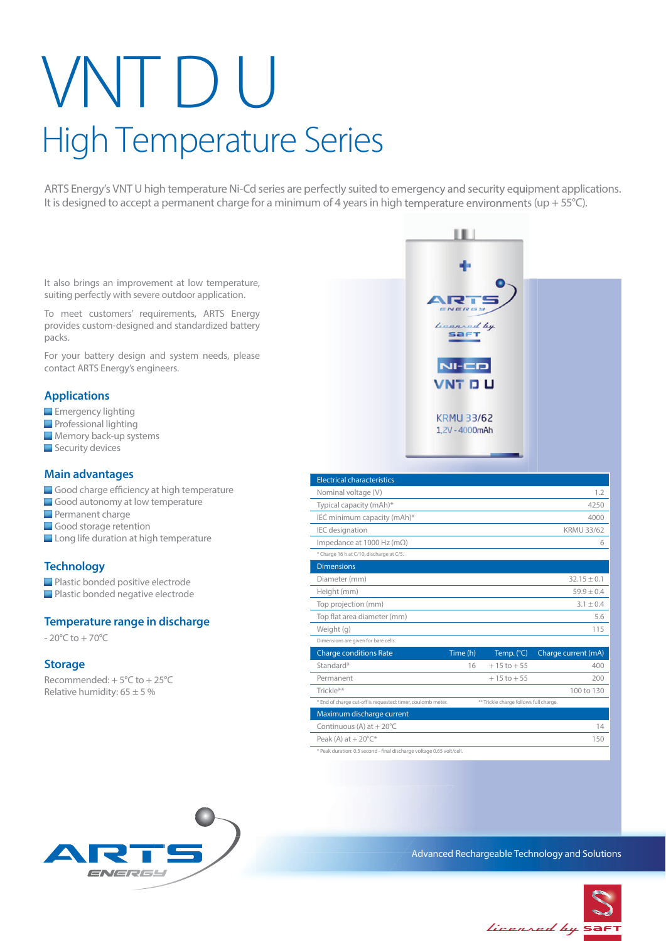# VNT D U High Temperature Series

ARTS Energy's VNT U high temperature Ni-Cd series are perfectly suited to emergency and security equipment applications. It is designed to accept a permanent charge for a minimum of 4 years in high temperature environments (up + 55°C).

It also brings an improvement at low temperature, suiting perfectly with severe outdoor application.

To meet customers' requirements, ARTS Energy provides custom-designed and standardized battery packs.

For your battery design and system needs, please contact ARTS Energy's engineers.

## **Applications**

- **Emergency lighting**
- **Professional lighting**
- **Memory back-up systems**
- Security devices

#### **Main advantages**

- Good charge efficiency at high temperature
- Good autonomy at low temperature
- **Permanent charge**
- Good storage retention
- Long life duration at high temperature

### **Technology**

**Plastic bonded positive electrode** 

**Plastic bonded negative electrode** 

### **Temperature range in discharge**

 $-20^{\circ}$ C to  $+70^{\circ}$ C

#### **Storage**

Recommended: + 5°C to + 25°C Relative humidity:  $65 \pm 5 \%$ 



ш

\* Peak duration: 0.3 second - final discharge voltage 0.65 volt/cell.